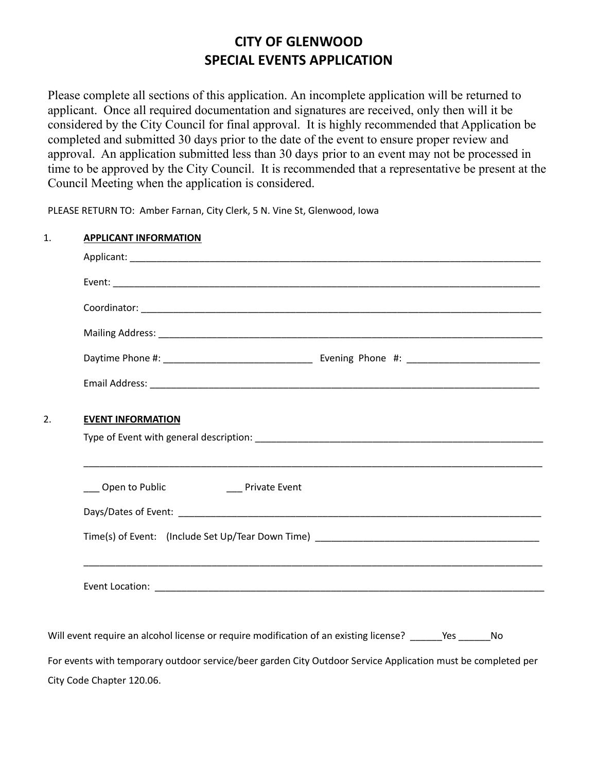## **CITY OF GLENWOOD SPECIAL EVENTS APPLICATION**

Please complete all sections of this application. An incomplete application will be returned to applicant. Once all required documentation and signatures are received, only then will it be considered by the City Council for final approval. It is highly recommended that Application be completed and submitted 30 days prior to the date of the event to ensure proper review and approval. An application submitted less than 30 days prior to an event may not be processed in time to be approved by the City Council. It is recommended that a representative be present at the Council Meeting when the application is considered.

PLEASE RETURN TO: Amber Farnan, City Clerk, 5 N. Vine St, Glenwood, Iowa

| <b>APPLICANT INFORMATION</b>                                                                                 |  |  |  |
|--------------------------------------------------------------------------------------------------------------|--|--|--|
|                                                                                                              |  |  |  |
|                                                                                                              |  |  |  |
|                                                                                                              |  |  |  |
|                                                                                                              |  |  |  |
|                                                                                                              |  |  |  |
|                                                                                                              |  |  |  |
| <b>EVENT INFORMATION</b>                                                                                     |  |  |  |
|                                                                                                              |  |  |  |
| ____ Open to Public _____________________ Private Event                                                      |  |  |  |
|                                                                                                              |  |  |  |
|                                                                                                              |  |  |  |
|                                                                                                              |  |  |  |
|                                                                                                              |  |  |  |
|                                                                                                              |  |  |  |
| Will event require an alcohol license or require modification of an existing license? ______Yes ______No     |  |  |  |
| For events with temporary outdoor service/beer garden City Outdoor Service Application must be completed per |  |  |  |
|                                                                                                              |  |  |  |

City Code Chapter 120.06.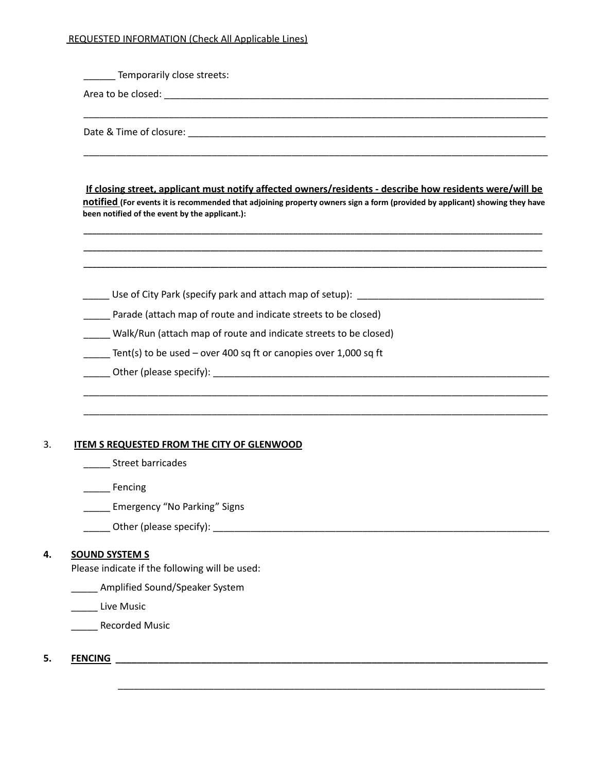### REQUESTED INFORMATION (Check All Applicable Lines)

| If closing street, applicant must notify affected owners/residents - describe how residents were/will be<br>notified (For events it is recommended that adjoining property owners sign a form (provided by applicant) showing they have |
|-----------------------------------------------------------------------------------------------------------------------------------------------------------------------------------------------------------------------------------------|
| been notified of the event by the applicant.):                                                                                                                                                                                          |
| Use of City Park (specify park and attach map of setup): Noting the set of the set of the set of the US of the                                                                                                                          |
| Parade (attach map of route and indicate streets to be closed)                                                                                                                                                                          |
| Walk/Run (attach map of route and indicate streets to be closed)                                                                                                                                                                        |
| $\frac{1}{2}$ Tent(s) to be used – over 400 sq ft or canopies over 1,000 sq ft                                                                                                                                                          |
|                                                                                                                                                                                                                                         |
| <b>ITEM S REQUESTED FROM THE CITY OF GLENWOOD</b><br><b>Street barricades</b>                                                                                                                                                           |
| Fencing                                                                                                                                                                                                                                 |
|                                                                                                                                                                                                                                         |
|                                                                                                                                                                                                                                         |
| Emergency "No Parking" Signs                                                                                                                                                                                                            |
| <b>SOUND SYSTEM S</b><br>Please indicate if the following will be used:                                                                                                                                                                 |
| ______ Amplified Sound/Speaker System                                                                                                                                                                                                   |
| Live Music                                                                                                                                                                                                                              |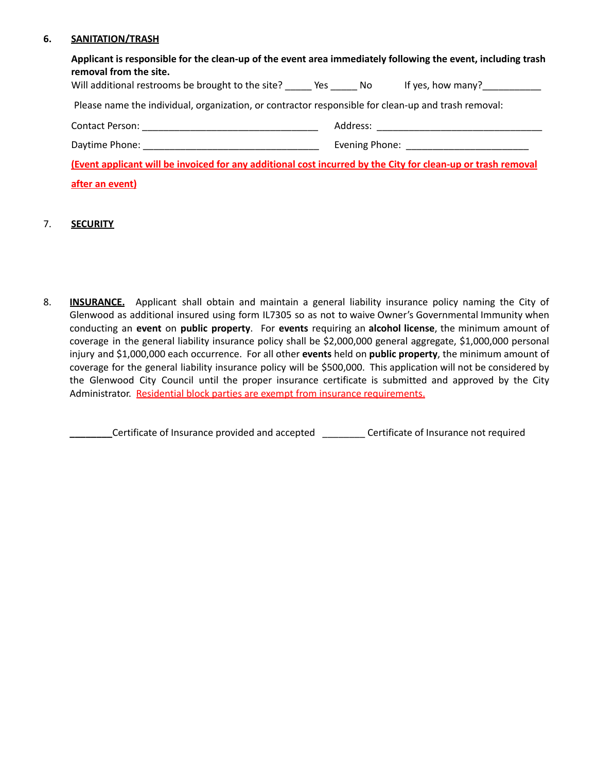#### **6. SANITATION/TRASH**

| Applicant is responsible for the clean-up of the event area immediately following the event, including trash<br>removal from the site. |                                 |
|----------------------------------------------------------------------------------------------------------------------------------------|---------------------------------|
| Will additional restrooms be brought to the site? Yes No                                                                               | If yes, how many? $\frac{1}{2}$ |
| Please name the individual, organization, or contractor responsible for clean-up and trash removal:                                    |                                 |
|                                                                                                                                        |                                 |
|                                                                                                                                        |                                 |
| (Event applicant will be invoiced for any additional cost incurred by the City for clean-up or trash removal                           |                                 |
| after an event)                                                                                                                        |                                 |

#### 7. **SECURITY**

8. **INSURANCE.** Applicant shall obtain and maintain a general liability insurance policy naming the City of Glenwood as additional insured using form IL7305 so as not to waive Owner's Governmental Immunity when conducting an **event** on **public property**. For **events** requiring an **alcohol license**, the minimum amount of coverage in the general liability insurance policy shall be \$2,000,000 general aggregate, \$1,000,000 personal injury and \$1,000,000 each occurrence. For all other **events** held on **public property**, the minimum amount of coverage for the general liability insurance policy will be \$500,000. This application will not be considered by the Glenwood City Council until the proper insurance certificate is submitted and approved by the City Administrator. Residential block parties are exempt from insurance requirements.

**\_\_\_\_\_\_\_\_**Certificate of Insurance provided and accepted \_\_\_\_\_\_\_\_ Certificate of Insurance not required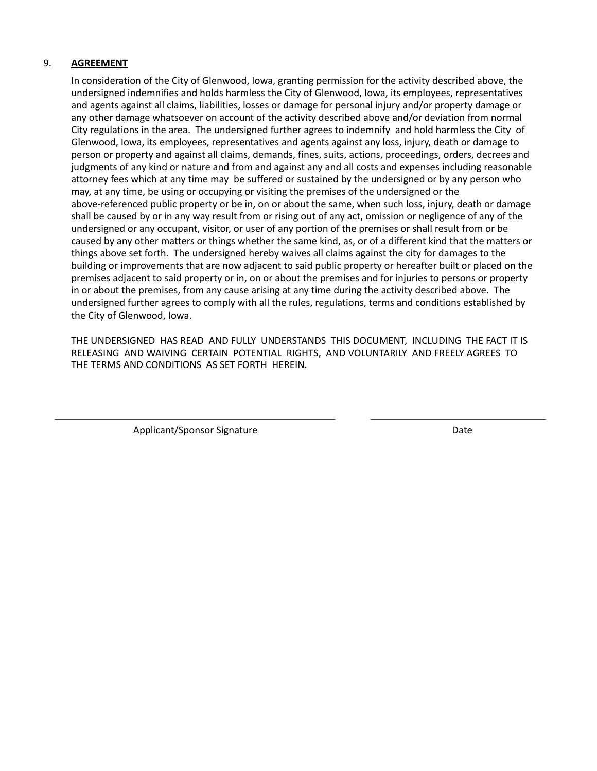#### 9. **AGREEMENT**

In consideration of the City of Glenwood, Iowa, granting permission for the activity described above, the undersigned indemnifies and holds harmless the City of Glenwood, Iowa, its employees, representatives and agents against all claims, liabilities, losses or damage for personal injury and/or property damage or any other damage whatsoever on account of the activity described above and/or deviation from normal City regulations in the area. The undersigned further agrees to indemnify and hold harmless the City of Glenwood, Iowa, its employees, representatives and agents against any loss, injury, death or damage to person or property and against all claims, demands, fines, suits, actions, proceedings, orders, decrees and judgments of any kind or nature and from and against any and all costs and expenses including reasonable attorney fees which at any time may be suffered or sustained by the undersigned or by any person who may, at any time, be using or occupying or visiting the premises of the undersigned or the above-referenced public property or be in, on or about the same, when such loss, injury, death or damage shall be caused by or in any way result from or rising out of any act, omission or negligence of any of the undersigned or any occupant, visitor, or user of any portion of the premises or shall result from or be caused by any other matters or things whether the same kind, as, or of a different kind that the matters or things above set forth. The undersigned hereby waives all claims against the city for damages to the building or improvements that are now adjacent to said public property or hereafter built or placed on the premises adjacent to said property or in, on or about the premises and for injuries to persons or property in or about the premises, from any cause arising at any time during the activity described above. The undersigned further agrees to comply with all the rules, regulations, terms and conditions established by the City of Glenwood, Iowa.

THE UNDERSIGNED HAS READ AND FULLY UNDERSTANDS THIS DOCUMENT, INCLUDING THE FACT IT IS RELEASING AND WAIVING CERTAIN POTENTIAL RIGHTS, AND VOLUNTARILY AND FREELY AGREES TO THE TERMS AND CONDITIONS AS SET FORTH HEREIN.

Applicant/Sponsor Signature data and the Date Date